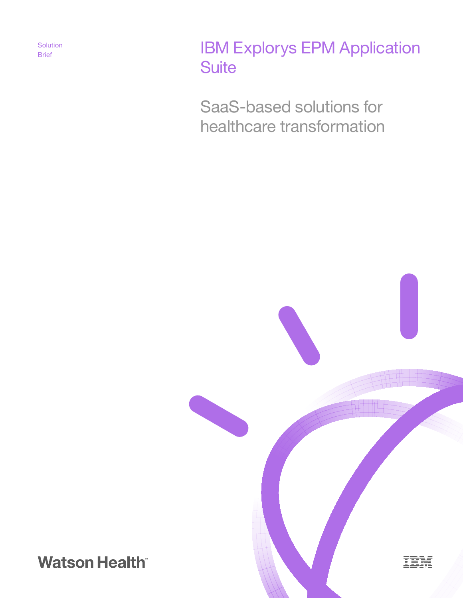**Solution** 

# Solution **IBM Explorys EPM Application Suite**

SaaS-based solutions for healthcare transformation



**Watson Health**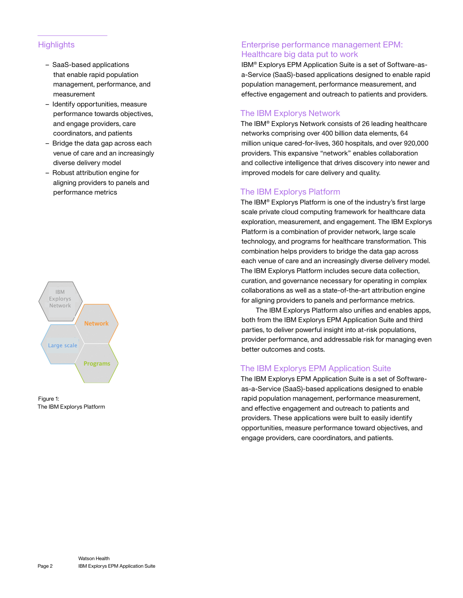### **Highlights**

- SaaS-based applications that enable rapid population management, performance, and measurement
- Identify opportunities, measure performance towards objectives, and engage providers, care coordinators, and patients
- Bridge the data gap across each venue of care and an increasingly diverse delivery model
- Robust attribution engine for aligning providers to panels and performance metrics





## Enterprise performance management EPM: Healthcare big data put to work

IBM® Explorys EPM Application Suite is a set of Software-asa-Service (SaaS)-based applications designed to enable rapid population management, performance measurement, and effective engagement and outreach to patients and providers.

# The IBM Explorys Network

The IBM® Explorys Network consists of 26 leading healthcare networks comprising over 400 billion data elements, 64 million unique cared-for-lives, 360 hospitals, and over 920,000 providers. This expansive "network" enables collaboration and collective intelligence that drives discovery into newer and improved models for care delivery and quality.

# The IBM Explorys Platform

The IBM® Explorys Platform is one of the industry's first large scale private cloud computing framework for healthcare data exploration, measurement, and engagement. The IBM Explorys Platform is a combination of provider network, large scale technology, and programs for healthcare transformation. This combination helps providers to bridge the data gap across each venue of care and an increasingly diverse delivery model. The IBM Explorys Platform includes secure data collection, curation, and governance necessary for operating in complex collaborations as well as a state-of-the-art attribution engine for aligning providers to panels and performance metrics.

The IBM Explorys Platform also unifies and enables apps, both from the IBM Explorys EPM Application Suite and third parties, to deliver powerful insight into at-risk populations, provider performance, and addressable risk for managing even better outcomes and costs.

# The IBM Explorys EPM Application Suite

The IBM Explorys EPM Application Suite is a set of Softwareas-a-Service (SaaS)-based applications designed to enable rapid population management, performance measurement, and effective engagement and outreach to patients and providers. These applications were built to easily identify opportunities, measure performance toward objectives, and engage providers, care coordinators, and patients.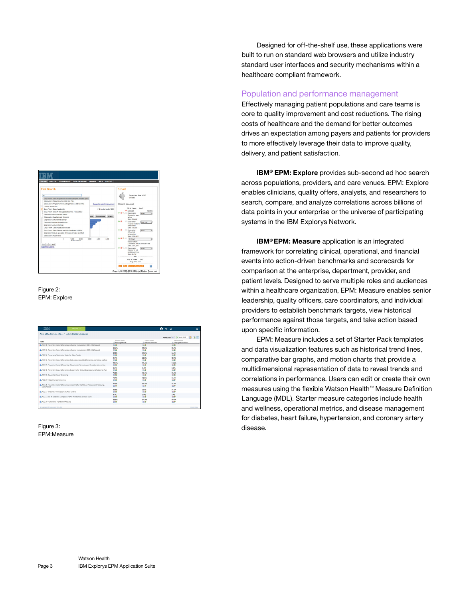

#### Figure 2: EPM: Explore

| ACO 2016 Clinical Ma / Submittable Measures                                                                   |                                              |                                               | Attribution: PCP @ Jun 6, 2016               | 3 <sup>n</sup><br>霺 |
|---------------------------------------------------------------------------------------------------------------|----------------------------------------------|-----------------------------------------------|----------------------------------------------|---------------------|
| Name                                                                                                          | Training Health<br><b>Li Training Health</b> | Training Health<br><b>Affiliate Providers</b> | Training Health<br><b>Employed Providers</b> |                     |
| ACO 14 - Preventive Care and Screening: Influenza Immunization (2014-2015 Season)                             | ぬ感                                           | 公路                                            | юâ                                           |                     |
| ACO 14 - Preventive Care and Screening: Influenza Immunization (2015-2016 Season)                             | 34,6%<br><b>IOM</b>                          | <b>35.0%</b><br>indi                          | 33.2%<br>юâ                                  |                     |
| L. ACC 15 - Preumonia Vaccination Status for Older Artuits                                                    | 87.2%<br>ぬ感                                  | 87.5%<br>公路                                   | 86.2%<br>ぬ感                                  |                     |
| ACO 16 - Preventive Care and Screening: Body Mass Index (BMI) Screening and Follow-Up Plan                    | 21.9%<br><b>SOUTH</b>                        | 22.7%<br><b>SOLID</b>                         | 18.9%<br>юâ                                  |                     |
| ACO 17 - Preventive Care and Screening: Tobacco Lise: Screening and Cessation Intervention                    | 95.4%<br>ぬ感                                  | 95,6%<br>公路                                   | 94.5%<br>юâ                                  |                     |
| ACO 18 - Preventive Care and Screening: Screening for Clinical Depression and Follow-Lip Plan                 | $0.0\%$<br>流感                                | 0.0%<br><b>In di</b>                          | 0.0%<br>юâ                                   |                     |
| L ACO 19 - Colorectal Cancer Screening                                                                        | 78.2%<br>ぬ感                                  | 78.4%<br>ぬ感                                   | 77,6%<br>юâ                                  |                     |
| ACO 20 - Breast Cancer Screening                                                                              | 73.7%<br>冷感                                  | 72.9%<br><b>SOLUTION</b>                      | 76.2%<br>юá                                  |                     |
| ACO 21 - Preventive Care and Screening: Screening for High Blood Pressure and Follow-Lip<br><b>Documented</b> | 79.2%<br><b>SOUTH</b>                        | 80.0%<br><b>IO.B</b>                          | 76.9%<br><b>SOLUTION</b>                     |                     |
| L. ACO 27 - Diabetes: Hernoglobin Alc Poor Control.                                                           | 22.6%<br>公路                                  | 22.7%<br>公路                                   | 24.6%<br><b>Indi</b>                         |                     |
| ACO 27 and 41 - Diabetes Composite: HbAlc Poor Control and Eye Exam                                           | 3.7%<br>酒感                                   | 3.9%<br><b>JOUR</b>                           | 2.7%<br>юâ                                   |                     |
| L ACO 28 - Controlling High Blood Pressure                                                                    | 65.6%<br>地震                                  | 64.9%<br>冷感                                   | 68.5%<br>地面                                  |                     |
|                                                                                                               | $-$                                          | an and                                        | 10.000                                       |                     |

Figure 3: EPM:Measure

Designed for off-the-shelf use, these applications were built to run on standard web browsers and utilize industry standard user interfaces and security mechanisms within a healthcare compliant framework.

#### Population and performance management

Effectively managing patient populations and care teams is core to quality improvement and cost reductions. The rising costs of healthcare and the demand for better outcomes drives an expectation among payers and patients for providers to more effectively leverage their data to improve quality, delivery, and patient satisfaction.

**IBM® EPM: Explore** provides sub-second ad hoc search across populations, providers, and care venues. EPM: Explore enables clinicians, quality offers, analysts, and researchers to search, compare, and analyze correlations across billions of data points in your enterprise or the universe of participating systems in the IBM Explorys Network.

**IBM® EPM: Measure** application is an integrated framework for correlating clinical, operational, and financial events into action-driven benchmarks and scorecards for comparison at the enterprise, department, provider, and patient levels. Designed to serve multiple roles and audiences within a healthcare organization, EPM: Measure enables senior leadership, quality officers, care coordinators, and individual providers to establish benchmark targets, view historical performance against those targets, and take action based upon specific information.

EPM: Measure includes a set of Starter Pack templates and data visualization features such as historical trend lines, comparative bar graphs, and motion charts that provide a multidimensional representation of data to reveal trends and correlations in performance. Users can edit or create their own measures using the flexible Watson Health™ Measure Definition Language (MDL). Starter measure categories include health and wellness, operational metrics, and disease management for diabetes, heart failure, hypertension, and coronary artery disease.

Page 3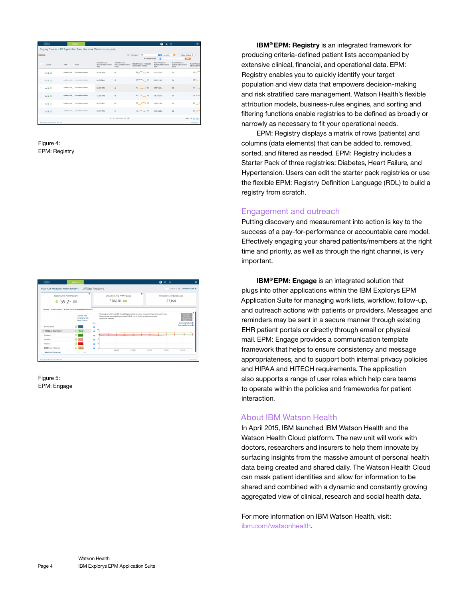| <b>IBM</b><br>Registry v |                                        |     |                             |                                                                              |                                                    | $\mathbf{0}$ a $\alpha$                           |                                                  | $\ddot{\mathbf{c}}$                               |                                        |  |
|--------------------------|----------------------------------------|-----|-----------------------------|------------------------------------------------------------------------------|----------------------------------------------------|---------------------------------------------------|--------------------------------------------------|---------------------------------------------------|----------------------------------------|--|
|                          |                                        |     |                             | Registry Console / ED SuperUtilizer Panel (3 or more ED visits in past year) |                                                    |                                                   |                                                  |                                                   |                                        |  |
| Engage Eld               |                                        |     |                             |                                                                              |                                                    | <b>C</b> Athlesion: POP<br>目 0 Jun 7, 2016        |                                                  |                                                   | 岗<br>More Actions V                    |  |
|                          |                                        |     |                             |                                                                              |                                                    | All Vensble Columns                               | п                                                |                                                   | <b>The</b>                             |  |
| $\sim$                   | Artisers                               | MRN | Name                        | Blood Pressure -<br>Diastolic Observation<br>Date                            | Blood Pressure .<br>Diastolic Observation<br>Value | Blood Pressure - Diastolic<br>Observation History | Blood Pressure -<br>Systolic Observation<br>Date | Blood Pressure -<br>Systolic Observation<br>Velue | <b>Blood Pressur-</b><br>Observation H |  |
| ō                        | 480                                    |     | *********** *************** | 05/26/2016                                                                   | 4R                                                 | 58<br>$-68$                                       | 05/26/2016                                       | 120                                               | 102                                    |  |
|                          | ▲隔回                                    |     |                             | 06/01/2016                                                                   | 52                                                 | 58<br>52                                          | 06/09/2016                                       | 104                                               | 120N                                   |  |
| ö                        | 498                                    |     |                             | 02/09/2016                                                                   | 62                                                 | $40 - 62$                                         | 02/09/2016                                       | 108                                               | 81                                     |  |
|                          | 480                                    |     |                             | 03/25/2016                                                                   | $^{46}$                                            | $30 -$<br>$-66$                                   | 03/25/2086                                       | 134                                               | $146 -$                                |  |
| ō                        | 480                                    |     | ----------- --------------- | 06/01/2016                                                                   | 40                                                 | 60<br>58                                          | 06/09/2016                                       | TR                                                | 102                                    |  |
|                          | 4 届日                                   |     |                             | 05/05/2016                                                                   | 74                                                 | $\sim$ 74<br>75/                                  | 05/05/2016                                       | 122                                               | 122                                    |  |
|                          |                                        |     |                             |                                                                              | H H 125 of 27 D H                                  |                                                   |                                                  |                                                   | Show 26 50 500                         |  |
|                          | C Copyright IBM Corporation 1994, 2016 |     |                             |                                                                              |                                                    |                                                   |                                                  |                                                   | Privacy Policy                         |  |

Figure 4: EPM: Registry



Figure 5: EPM: Engage

**IBM® EPM: Registry** is an integrated framework for producing criteria-defined patient lists accompanied by extensive clinical, financial, and operational data. EPM: Registry enables you to quickly identify your target population and view data that empowers decision-making and risk stratified care management. Watson Health's flexible attribution models, business-rules engines, and sorting and filtering functions enable registries to be defined as broadly or narrowly as necessary to fit your operational needs.

EPM: Registry displays a matrix of rows (patients) and columns (data elements) that can be added to, removed, sorted, and filtered as needed. EPM: Registry includes a Starter Pack of three registries: Diabetes, Heart Failure, and Hypertension. Users can edit the starter pack registries or use the flexible EPM: Registry Definition Language (RDL) to build a registry from scratch.

#### Engagement and outreach

Putting discovery and measurement into action is key to the success of a pay-for-performance or accountable care model. Effectively engaging your shared patients/members at the right time and priority, as well as through the right channel, is very important.

**IBM® EPM: Engage** is an integrated solution that plugs into other applications within the IBM Explorys EPM Application Suite for managing work lists, workflow, follow-up, and outreach actions with patients or providers. Messages and reminders may be sent in a secure manner through existing EHR patient portals or directly through email or physical mail. EPM: Engage provides a communication template framework that helps to ensure consistency and message appropriateness, and to support both internal privacy policies and HIPAA and HITECH requirements. The application also supports a range of user roles which help care teams to operate within the policies and frameworks for patient interaction.

#### About IBM Watson Health

In April 2015, IBM launched IBM Watson Health and the Watson Health Cloud platform. The new unit will work with doctors, researchers and insurers to help them innovate by surfacing insights from the massive amount of personal health data being created and shared daily. The Watson Health Cloud can mask patient identities and allow for information to be shared and combined with a dynamic and constantly growing aggregated view of clinical, research and social health data.

For more information on IBM Watson Health, visit: [ibm.com/watsonhealth.](www.ibm.com/watsonhealth)